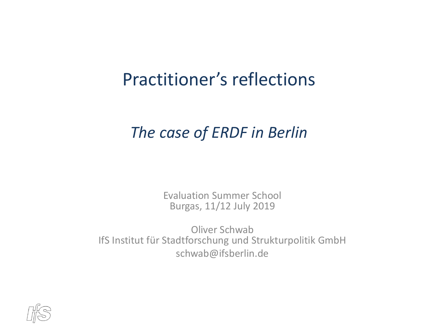#### Practitioner's reflections

#### *The case of ERDF in Berlin*

Evaluation Summer School Burgas, 11/12 July 2019

Oliver Schwab IfS Institut für Stadtforschung und Strukturpolitik GmbH schwab@ifsberlin.de

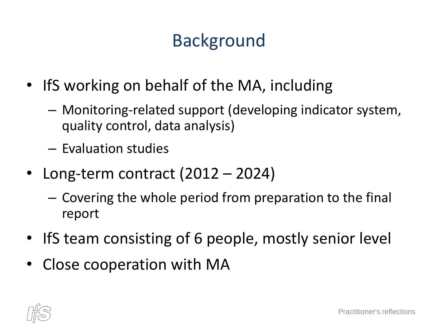# Background

- IfS working on behalf of the MA, including
	- Monitoring-related support (developing indicator system, quality control, data analysis)
	- Evaluation studies
- Long-term contract (2012 2024)
	- Covering the whole period from preparation to the final report
- IfS team consisting of 6 people, mostly senior level
- Close cooperation with MA

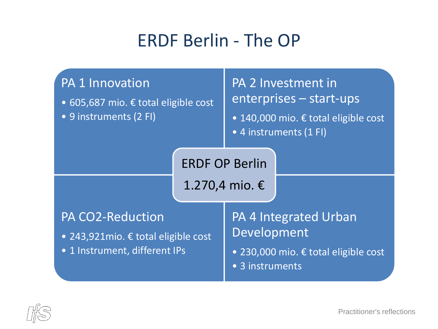## ERDF Berlin - The OP

| <b>PA 1 Innovation</b><br>• 605,687 mio. € total eligible cost<br>• 9 instruments (2 FI)         |                       | PA 2 Investment in<br>enterprises - start-ups<br>• 140,000 mio. € total eligible cost<br>• 4 instruments (1 FI) |                                      |
|--------------------------------------------------------------------------------------------------|-----------------------|-----------------------------------------------------------------------------------------------------------------|--------------------------------------|
|                                                                                                  | <b>ERDF OP Berlin</b> |                                                                                                                 |                                      |
|                                                                                                  | 1.270,4 mio. €        |                                                                                                                 |                                      |
| <b>PA CO2-Reduction</b><br>• 243,921 mio. € total eligible cost<br>• 1 Instrument, different IPs |                       | <b>PA 4 Integrated Urban</b><br>Development                                                                     |                                      |
|                                                                                                  |                       | • 3 instruments                                                                                                 | • 230,000 mio. € total eligible cost |

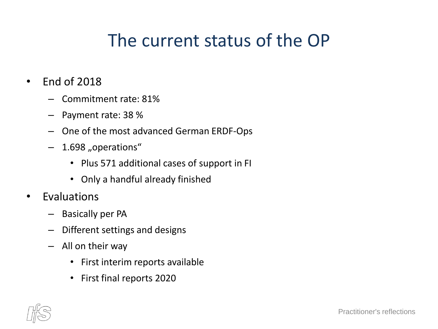# The current status of the OP

- End of 2018
	- Commitment rate: 81%
	- Payment rate: 38 %
	- One of the most advanced German ERDF-Ops
	- 1.698 "operations"
		- Plus 571 additional cases of support in FI
		- Only a handful already finished
- Evaluations
	- Basically per PA
	- Different settings and designs
	- All on their way
		- First interim reports available
		- First final reports 2020

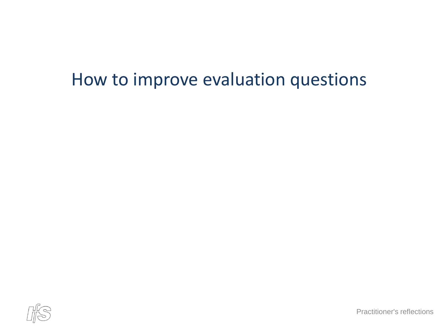#### How to improve evaluation questions



Practitioner's reflections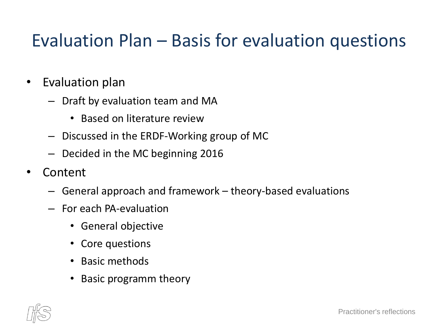# Evaluation Plan – Basis for evaluation questions

- Evaluation plan
	- Draft by evaluation team and MA
		- Based on literature review
	- Discussed in the ERDF-Working group of MC
	- Decided in the MC beginning 2016
- Content
	- General approach and framework theory-based evaluations
	- For each PA-evaluation
		- General objective
		- Core questions
		- Basic methods
		- Basic programm theory

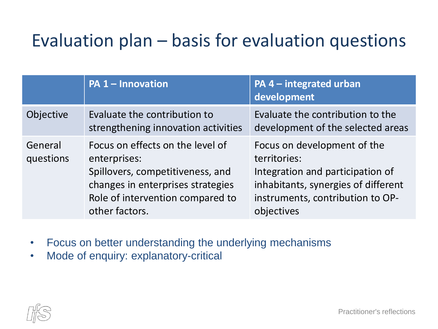# Evaluation plan – basis for evaluation questions

|                      | <b>PA 1 - Innovation</b>                                                                                                                                                        | PA $4$ – integrated urban<br>development                                                                                                                                 |
|----------------------|---------------------------------------------------------------------------------------------------------------------------------------------------------------------------------|--------------------------------------------------------------------------------------------------------------------------------------------------------------------------|
| Objective            | Evaluate the contribution to<br>strengthening innovation activities                                                                                                             | Evaluate the contribution to the<br>development of the selected areas                                                                                                    |
| General<br>questions | Focus on effects on the level of<br>enterprises:<br>Spillovers, competitiveness, and<br>changes in enterprises strategies<br>Role of intervention compared to<br>other factors. | Focus on development of the<br>territories:<br>Integration and participation of<br>inhabitants, synergies of different<br>instruments, contribution to OP-<br>objectives |

- Focus on better understanding the underlying mechanisms
- Mode of enquiry: explanatory-critical

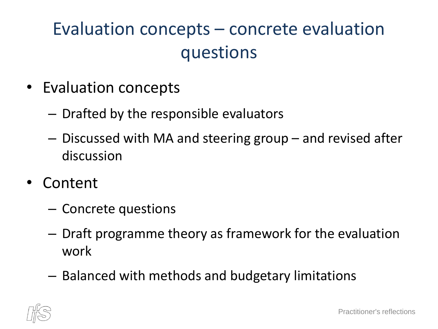# Evaluation concepts – concrete evaluation questions

- Evaluation concepts
	- Drafted by the responsible evaluators
	- Discussed with MA and steering group and revised after discussion
- Content
	- Concrete questions
	- Draft programme theory as framework for the evaluation work
	- Balanced with methods and budgetary limitations

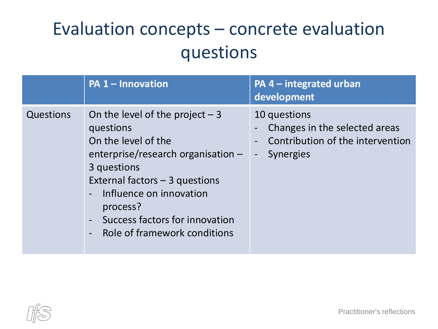# Evaluation concepts – concrete evaluation questions

|           | <b>PA 1 - Innovation</b>                                                                                                                                                                                                                                               | $PA$ 4 – integrated urban<br>development                                                                                                                      |
|-----------|------------------------------------------------------------------------------------------------------------------------------------------------------------------------------------------------------------------------------------------------------------------------|---------------------------------------------------------------------------------------------------------------------------------------------------------------|
| Questions | On the level of the project $-3$<br>questions<br>On the level of the<br>enterprise/research organisation -<br>3 questions<br>External factors - 3 questions<br>- Influence on innovation<br>process?<br>Success factors for innovation<br>Role of framework conditions | 10 questions<br>Changes in the selected areas<br>Contribution of the intervention<br>$\overline{\phantom{a}}$<br><b>Synergies</b><br>$\overline{\phantom{0}}$ |

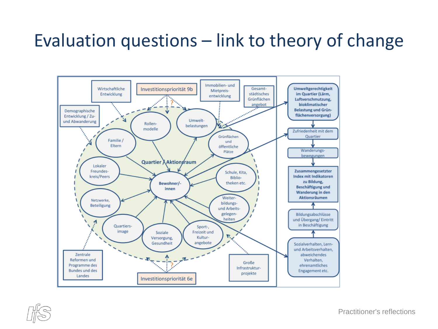## Evaluation questions – link to theory of change





Practitioner's reflections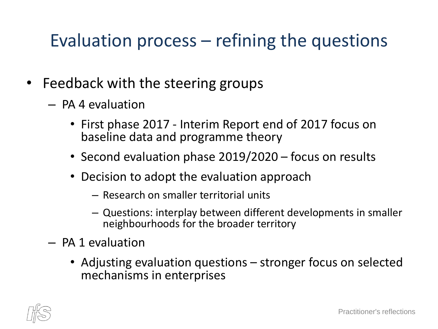## Evaluation process – refining the questions

- Feedback with the steering groups
	- PA 4 evaluation
		- First phase 2017 Interim Report end of 2017 focus on baseline data and programme theory
		- Second evaluation phase 2019/2020 focus on results
		- Decision to adopt the evaluation approach
			- Research on smaller territorial units
			- Questions: interplay between different developments in smaller neighbourhoods for the broader territory
	- PA 1 evaluation
		- Adjusting evaluation questions stronger focus on selected mechanisms in enterprises

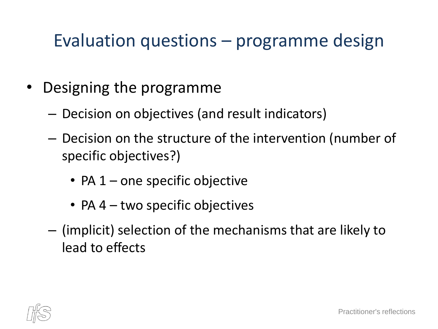### Evaluation questions – programme design

- Designing the programme
	- Decision on objectives (and result indicators)
	- Decision on the structure of the intervention (number of specific objectives?)
		- PA  $1$  one specific objective
		- PA 4 two specific objectives
	- (implicit) selection of the mechanisms that are likely to lead to effects

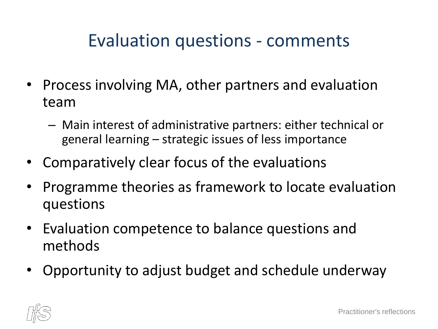### Evaluation questions - comments

- Process involving MA, other partners and evaluation team
	- Main interest of administrative partners: either technical or general learning – strategic issues of less importance
- Comparatively clear focus of the evaluations
- Programme theories as framework to locate evaluation questions
- Evaluation competence to balance questions and methods
- Opportunity to adjust budget and schedule underway

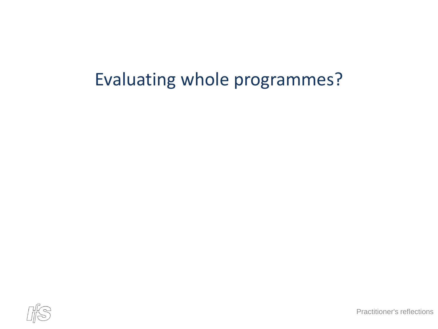# Evaluating whole programmes?

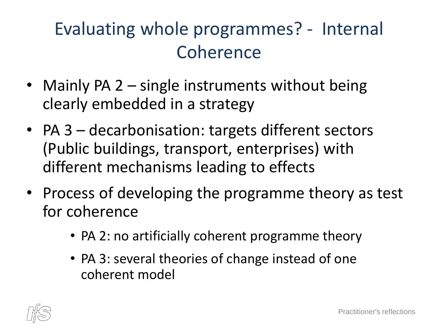# Evaluating whole programmes? - Internal Coherence

- Mainly PA 2 single instruments without being clearly embedded in a strategy
- PA 3 decarbonisation: targets different sectors (Public buildings, transport, enterprises) with different mechanisms leading to effects
- Process of developing the programme theory as test for coherence
	- PA 2: no artificially coherent programme theory
	- PA 3: several theories of change instead of one coherent model

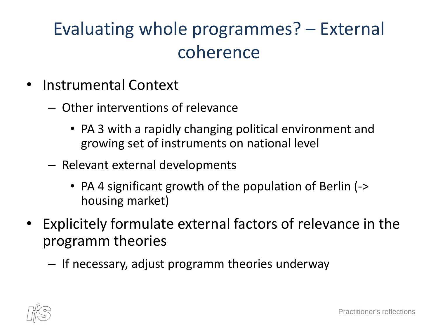# Evaluating whole programmes? – External coherence

- Instrumental Context
	- Other interventions of relevance
		- PA 3 with a rapidly changing political environment and growing set of instruments on national level
	- Relevant external developments
		- PA 4 significant growth of the population of Berlin (-> housing market)
- Explicitely formulate external factors of relevance in the programm theories
	- If necessary, adjust programm theories underway

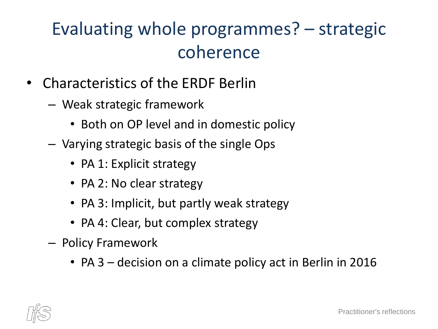# Evaluating whole programmes? – strategic coherence

- Characteristics of the ERDF Berlin
	- Weak strategic framework
		- Both on OP level and in domestic policy
	- Varying strategic basis of the single Ops
		- PA 1: Explicit strategy
		- PA 2: No clear strategy
		- PA 3: Implicit, but partly weak strategy
		- PA 4: Clear, but complex strategy
	- Policy Framework
		- PA 3 decision on a climate policy act in Berlin in 2016

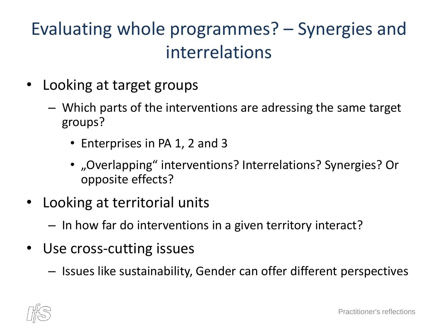# Evaluating whole programmes? – Synergies and interrelations

- Looking at target groups
	- Which parts of the interventions are adressing the same target groups?
		- Enterprises in PA 1, 2 and 3
		- "Overlapping" interventions? Interrelations? Synergies? Or opposite effects?
- Looking at territorial units
	- In how far do interventions in a given territory interact?
- Use cross-cutting issues
	- Issues like sustainability, Gender can offer different perspectives

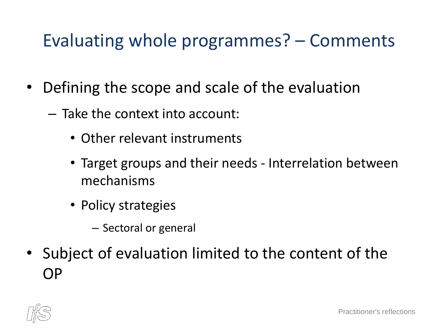### Evaluating whole programmes? – Comments

- Defining the scope and scale of the evaluation
	- Take the context into account:
		- Other relevant instruments
		- Target groups and their needs Interrelation between mechanisms
		- Policy strategies
			- Sectoral or general
- Subject of evaluation limited to the content of the OP

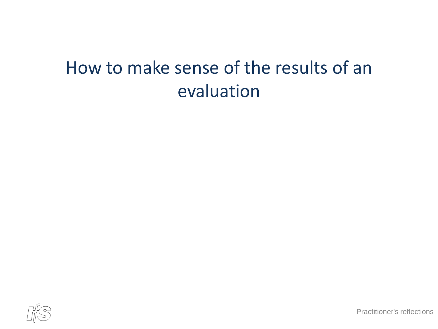# How to make sense of the results of an evaluation



Practitioner's reflections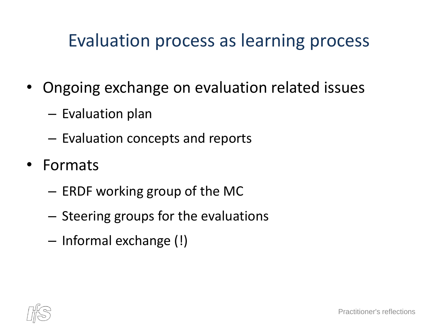### Evaluation process as learning process

- Ongoing exchange on evaluation related issues
	- Evaluation plan
	- Evaluation concepts and reports
- Formats
	- ERDF working group of the MC
	- Steering groups for the evaluations
	- Informal exchange (!)

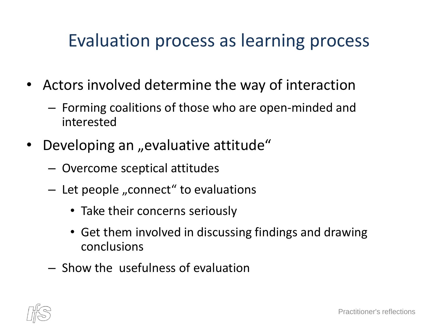#### Evaluation process as learning process

- Actors involved determine the way of interaction
	- Forming coalitions of those who are open-minded and interested
- Developing an "evaluative attitude"
	- Overcome sceptical attitudes
	- $-$  Let people "connect" to evaluations
		- Take their concerns seriously
		- Get them involved in discussing findings and drawing conclusions
	- Show the usefulness of evaluation

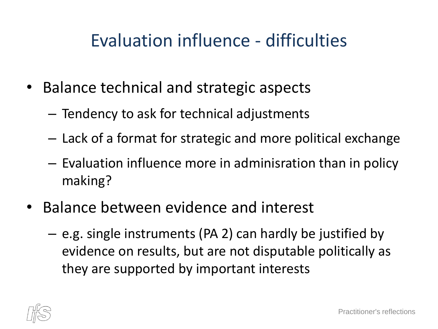## Evaluation influence - difficulties

- Balance technical and strategic aspects
	- Tendency to ask for technical adjustments
	- Lack of a format for strategic and more political exchange
	- Evaluation influence more in adminisration than in policy making?
- Balance between evidence and interest
	- e.g. single instruments (PA 2) can hardly be justified by evidence on results, but are not disputable politically as they are supported by important interests

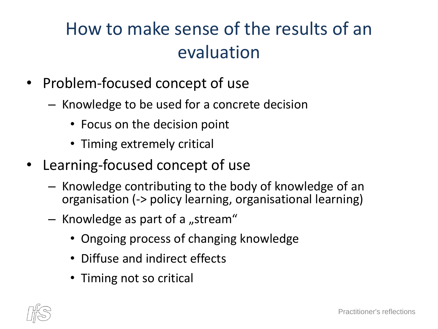# How to make sense of the results of an evaluation

- Problem-focused concept of use
	- Knowledge to be used for a concrete decision
		- Focus on the decision point
		- Timing extremely critical
- Learning-focused concept of use
	- Knowledge contributing to the body of knowledge of an organisation (-> policy learning, organisational learning)
	- $-$  Knowledge as part of a "stream"
		- Ongoing process of changing knowledge
		- Diffuse and indirect effects
		- Timing not so critical